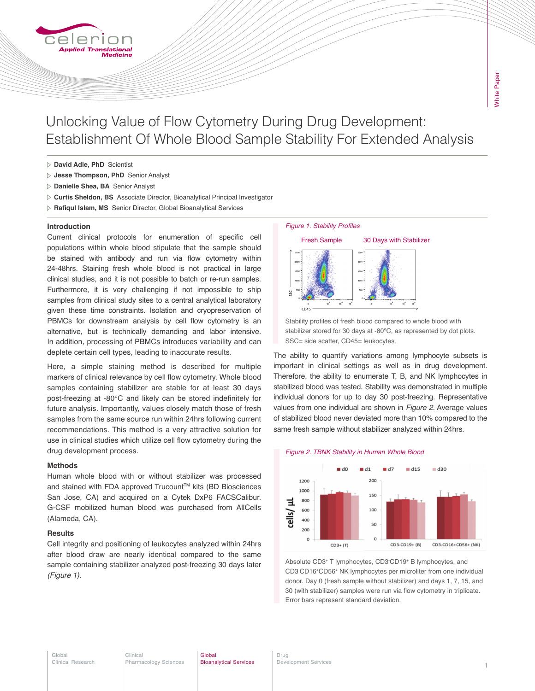

Unlocking Value of Flow Cytometry During Drug Development: Establishment Of Whole Blood Sample Stability For Extended Analysis

- **David Adle, PhD** Scientist
- **Jesse Thompson, PhD** Senior Analyst
- **Danielle Shea, BA** Senior Analyst
- **Curtis Sheldon, BS** Associate Director, Bioanalytical Principal Investigator
- **Rafiqul Islam, MS** Senior Director, Global Bioanalytical Services

## **Introduction**

Current clinical protocols for enumeration of specific cell populations within whole blood stipulate that the sample should be stained with antibody and run via flow cytometry within 24-48hrs. Staining fresh whole blood is not practical in large clinical studies, and it is not possible to batch or re-run samples. Furthermore, it is very challenging if not impossible to ship samples from clinical study sites to a central analytical laboratory given these time constraints. Isolation and cryopreservation of PBMCs for downstream analysis by cell flow cytometry is an alternative, but is technically demanding and labor intensive. In addition, processing of PBMCs introduces variability and can deplete certain cell types, leading to inaccurate results.

Here, a simple staining method is described for multiple markers of clinical relevance by cell flow cytometry. Whole blood samples containing stabilizer are stable for at least 30 days post-freezing at -80°C and likely can be stored indefinitely for future analysis. Importantly, values closely match those of fresh samples from the same source run within 24hrs following current recommendations. This method is a very attractive solution for use in clinical studies which utilize cell flow cytometry during the drug development process.

# **Methods**

Human whole blood with or without stabilizer was processed and stained with FDA approved Trucount™ kits (BD Biosciences San Jose, CA) and acquired on a Cytek DxP6 FACSCalibur. G-CSF mobilized human blood was purchased from AllCells (Alameda, CA).

### **Results**

Cell integrity and positioning of leukocytes analyzed within 24hrs after blood draw are nearly identical compared to the same sample containing stabilizer analyzed post-freezing 30 days later *(Figure 1)*.

#### Figure 1. Stability Profiles



Stability profiles of fresh blood compared to whole blood with stabilizer stored for 30 days at -80ºC, as represented by dot plots. SSC= side scatter, CD45= leukocytes.

The ability to quantify variations among lymphocyte subsets is important in clinical settings as well as in drug development. Therefore, the ability to enumerate T, B, and NK lymphocytes in stabilized blood was tested. Stability was demonstrated in multiple individual donors for up to day 30 post-freezing. Representative values from one individual are shown in *Figure 2*. Average values of stabilized blood never deviated more than 10% compared to the same fresh sample without stabilizer analyzed within 24hrs.





Absolute CD3+ T lymphocytes, CD3- CD19+ B lymphocytes, and CD3- CD16+CD56+ NK lymphocytes per microliter from one individual donor. Day 0 (fresh sample without stabilizer) and days 1, 7, 15, and 30 (with stabilizer) samples were run via flow cytometry in triplicate. Error bars represent standard deviation.

#### Global Clinical Research

Clinical Pharmacology Sciences

#### **Global** Bioanalytical Services

Drug Development Services 1